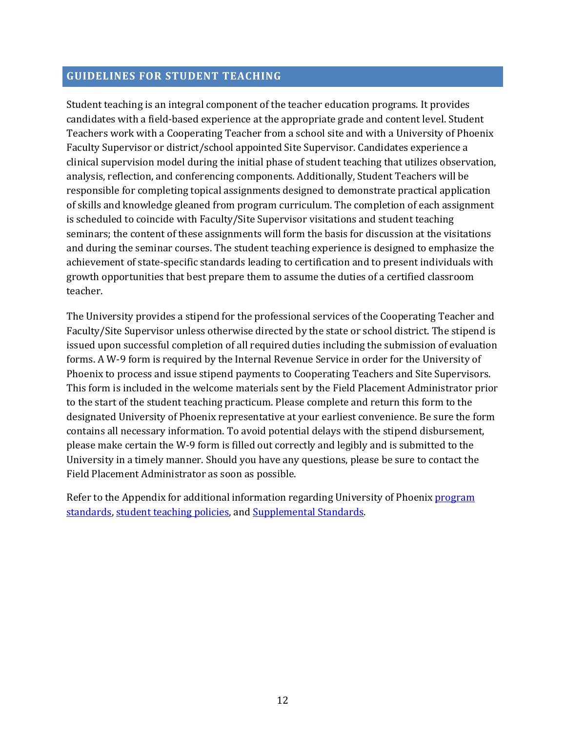#### **GUIDELINES FOR STUDENT TEACHING**

Student teaching is an integral component of the teacher education programs. It provides candidates with a field-based experience at the appropriate grade and content level. Student Teachers work with a Cooperating Teacher from a school site and with a University of Phoenix Faculty Supervisor or district/school appointed Site Supervisor. Candidates experience a clinical supervision model during the initial phase of student teaching that utilizes observation, analysis, reflection, and conferencing components. Additionally, Student Teachers will be responsible for completing topical assignments designed to demonstrate practical application of skills and knowledge gleaned from program curriculum. The completion of each assignment is scheduled to coincide with Faculty/Site Supervisor visitations and student teaching seminars; the content of these assignments will form the basis for discussion at the visitations and during the seminar courses. The student teaching experience is designed to emphasize the achievement of state-specific standards leading to certification and to present individuals with growth opportunities that best prepare them to assume the duties of a certified classroom teacher.

 forms. A W-9 form is required by the Internal Revenue Service in order for the University of The University provides a stipend for the professional services of the Cooperating Teacher and Faculty/Site Supervisor unless otherwise directed by the state or school district. The stipend is issued upon successful completion of all required duties including the submission of evaluation Phoenix to process and issue stipend payments to Cooperating Teachers and Site Supervisors. This form is included in the welcome materials sent by the Field Placement Administrator prior to the start of the student teaching practicum. Please complete and return this form to the designated University of Phoenix representative at your earliest convenience. Be sure the form contains all necessary information. To avoid potential delays with the stipend disbursement, please make certain the W-9 form is filled out correctly and legibly and is submitted to the University in a timely manner. Should you have any questions, please be sure to contact the Field Placement Administrator as soon as possible.

Refer to the Appendix for additional information regarding University of Phoenix <u>program</u> standards, student teaching policies, and Supplemental Standards.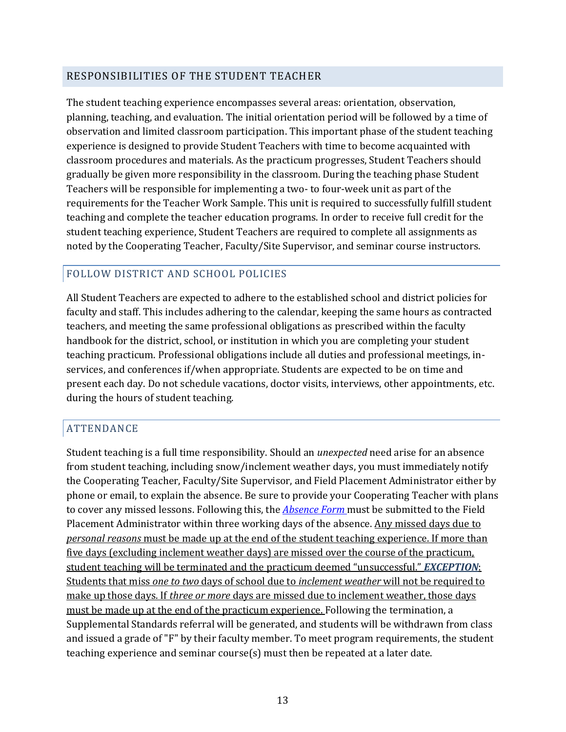## RESPONSIBILITIES OF THE STUDENT TEACHER

 experience is designed to provide Student Teachers with time to become acquainted with Teachers will be responsible for implementing a two- to four-week unit as part of the The student teaching experience encompasses several areas: orientation, observation, planning, teaching, and evaluation. The initial orientation period will be followed by a time of observation and limited classroom participation. This important phase of the student teaching classroom procedures and materials. As the practicum progresses, Student Teachers should gradually be given more responsibility in the classroom. During the teaching phase Student requirements for the Teacher Work Sample. This unit is required to successfully fulfill student teaching and complete the teacher education programs. In order to receive full credit for the student teaching experience, Student Teachers are required to complete all assignments as noted by the Cooperating Teacher, Faculty/Site Supervisor, and seminar course instructors.

#### FOLLOW DISTRICT AND SCHOOL POLICIES

All Student Teachers are expected to adhere to the established school and district policies for faculty and staff. This includes adhering to the calendar, keeping the same hours as contracted teachers, and meeting the same professional obligations as prescribed within the faculty handbook for the district, school, or institution in which you are completing your student teaching practicum. Professional obligations include all duties and professional meetings, inservices, and conferences if/when appropriate. Students are expected to be on time and present each day. Do not schedule vacations, doctor visits, interviews, other appointments, etc. during the hours of student teaching.

#### ATTENDANCE

 Student teaching is a full time responsibility. Should an *unexpected* need arise for an absence from student teaching, including snow/inclement weather days, you must immediately notify the Cooperating Teacher, Faculty/Site Supervisor, and Field Placement Administrator either by phone or email, to explain the absence. Be sure to provide your Cooperating Teacher with plans to cover any missed lessons. Following this, the *Absence Form* must be submitted to the Field Placement Administrator within three working days of the absence. Any missed days due to *personal reasons* must be made up at the end of the student teaching experience. If more than five days (excluding inclement weather days) are missed over the course of the practicum, student teaching will be terminated and the practicum deemed "unsuccessful." *EXCEPTION*: Students that miss *one to two* days of school due to *inclement weather* will not be required to make up those days. If *three or more* days are missed due to inclement weather, those days must be made up at the end of the practicum experience. Following the termination, a Supplemental Standards referral will be generated, and students will be withdrawn from class and issued a grade of "F" by their faculty member. To meet program requirements, the student teaching experience and seminar course(s) must then be repeated at a later date.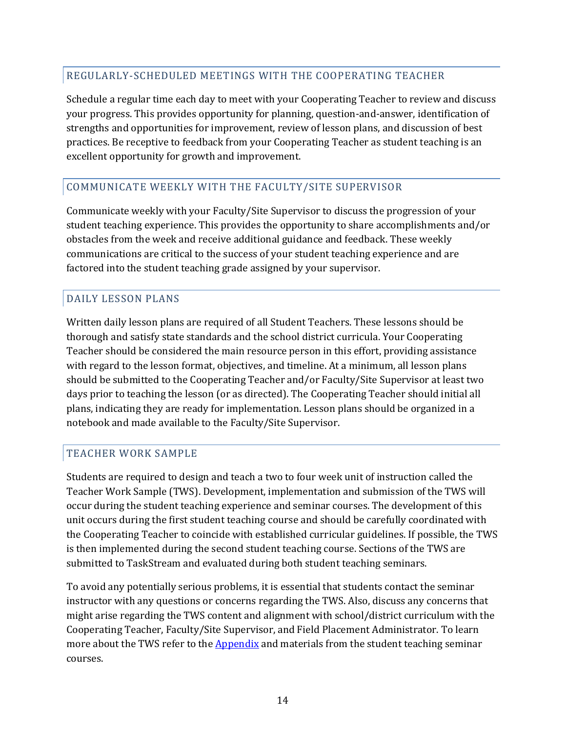### REGULARLY-SCHEDULED MEETINGS WITH THE COOPERATING TEACHER

Schedule a regular time each day to meet with your Cooperating Teacher to review and discuss your progress. This provides opportunity for planning, question-and-answer, identification of strengths and opportunities for improvement, review of lesson plans, and discussion of best practices. Be receptive to feedback from your Cooperating Teacher as student teaching is an excellent opportunity for growth and improvement.

### COMMUNICATE WEEKLY WITH THE FACULTY/SITE SUPERVISOR

Communicate weekly with your Faculty/Site Supervisor to discuss the progression of your student teaching experience. This provides the opportunity to share accomplishments and/or obstacles from the week and receive additional guidance and feedback. These weekly communications are critical to the success of your student teaching experience and are factored into the student teaching grade assigned by your supervisor.

### DAILY LESSON PLANS

 should be submitted to the Cooperating Teacher and/or Faculty/Site Supervisor at least two Written daily lesson plans are required of all Student Teachers. These lessons should be thorough and satisfy state standards and the school district curricula. Your Cooperating Teacher should be considered the main resource person in this effort, providing assistance with regard to the lesson format, objectives, and timeline. At a minimum, all lesson plans days prior to teaching the lesson (or as directed). The Cooperating Teacher should initial all plans, indicating they are ready for implementation. Lesson plans should be organized in a notebook and made available to the Faculty/Site Supervisor.

#### TEACHER WORK SAMPLE

 submitted to TaskStream and evaluated during both student teaching seminars. Students are required to design and teach a two to four week unit of instruction called the Teacher Work Sample (TWS). Development, implementation and submission of the TWS will occur during the student teaching experience and seminar courses. The development of this unit occurs during the first student teaching course and should be carefully coordinated with the Cooperating Teacher to coincide with established curricular guidelines. If possible, the TWS is then implemented during the second student teaching course. Sections of the TWS are

To avoid any potentially serious problems, it is essential that students contact the seminar instructor with any questions or concerns regarding the TWS. Also, discuss any concerns that might arise regarding the TWS content and alignment with school/district curriculum with the Cooperating Teacher, Faculty/Site Supervisor, and Field Placement Administrator. To learn more about the TWS refer to the **Appendix** and materials from the student teaching seminar courses.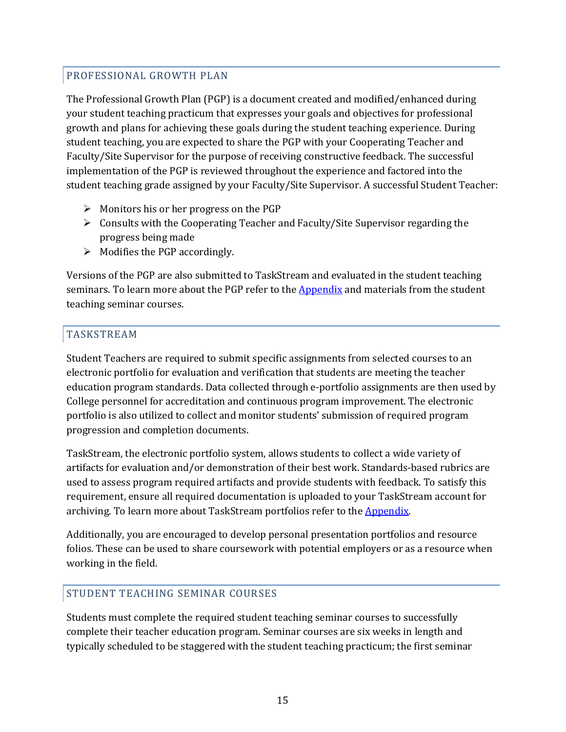## PROFESSIONAL GROWTH PLAN

The Professional Growth Plan (PGP) is a document created and modified/enhanced during your student teaching practicum that expresses your goals and objectives for professional growth and plans for achieving these goals during the student teaching experience. During student teaching, you are expected to share the PGP with your Cooperating Teacher and Faculty/Site Supervisor for the purpose of receiving constructive feedback. The successful implementation of the PGP is reviewed throughout the experience and factored into the student teaching grade assigned by your Faculty/Site Supervisor. A successful Student Teacher:

- $\triangleright$  Monitors his or her progress on the PGP
- $\triangleright$  Consults with the Cooperating Teacher and Faculty/Site Supervisor regarding the progress being made
- $\triangleright$  Modifies the PGP accordingly.

seminars. To learn more about the PGP refer to the <u>Appendix</u> and materials from the student Versions of the PGP are also submitted to TaskStream and evaluated in the student teaching teaching seminar courses.

## TASKSTREAM

 Student Teachers are required to submit specific assignments from selected courses to an progression and completion documents. electronic portfolio for evaluation and verification that students are meeting the teacher education program standards. Data collected through e-portfolio assignments are then used by College personnel for accreditation and continuous program improvement. The electronic portfolio is also utilized to collect and monitor students' submission of required program

archiving. To learn more about TaskStream portfolios refer to the <u>Appendix</u>. TaskStream, the electronic portfolio system, allows students to collect a wide variety of artifacts for evaluation and/or demonstration of their best work. Standards-based rubrics are used to assess program required artifacts and provide students with feedback. To satisfy this requirement, ensure all required documentation is uploaded to your TaskStream account for

working in the field. Additionally, you are encouraged to develop personal presentation portfolios and resource folios. These can be used to share coursework with potential employers or as a resource when

#### STUDENT TEACHING SEMINAR COURSES

 Students must complete the required student teaching seminar courses to successfully typically scheduled to be staggered with the student teaching practicum; the first seminar complete their teacher education program. Seminar courses are six weeks in length and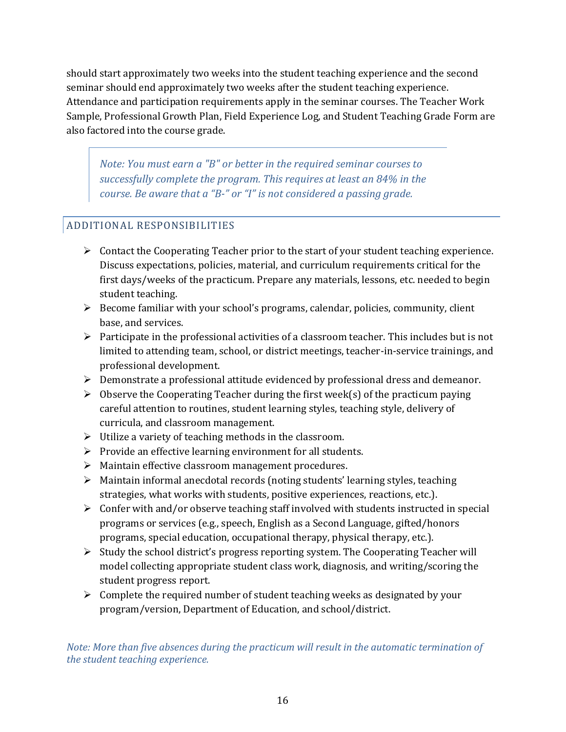should start approximately two weeks into the student teaching experience and the second seminar should end approximately two weeks after the student teaching experience. Attendance and participation requirements apply in the seminar courses. The Teacher Work Sample, Professional Growth Plan, Field Experience Log, and Student Teaching Grade Form are also factored into the course grade.

 *Note: You must earn a "B" or better in the required seminar courses to successfully complete the program. This requires at least an 84% in the course. Be aware that a "B-" or "I" is not considered a passing grade.* 

# ADDITIONAL RESPONSIBILITIES

- $\triangleright$  Contact the Cooperating Teacher prior to the start of your student teaching experience. Discuss expectations, policies, material, and curriculum requirements critical for the first days/weeks of the practicum. Prepare any materials, lessons, etc. needed to begin student teaching.
- $\triangleright$  Become familiar with your school's programs, calendar, policies, community, client base, and services.
- $\triangleright$  Participate in the professional activities of a classroom teacher. This includes but is not limited to attending team, school, or district meetings, teacher-in-service trainings, and professional development.
- Demonstrate a professional attitude evidenced by professional dress and demeanor.
- $\triangleright$  Observe the Cooperating Teacher during the first week(s) of the practicum paying careful attention to routines, student learning styles, teaching style, delivery of curricula, and classroom management.
- $\triangleright$  Utilize a variety of teaching methods in the classroom.
- $\triangleright$  Provide an effective learning environment for all students.
- Maintain effective classroom management procedures.
- $\triangleright$  Maintain informal anecdotal records (noting students' learning styles, teaching strategies, what works with students, positive experiences, reactions, etc.).
- $\triangleright$  Confer with and/or observe teaching staff involved with students instructed in special programs or services (e.g., speech, English as a Second Language, gifted/honors programs, special education, occupational therapy, physical therapy, etc.).
- $\triangleright$  Study the school district's progress reporting system. The Cooperating Teacher will model collecting appropriate student class work, diagnosis, and writing/scoring the student progress report.
- $\triangleright$  Complete the required number of student teaching weeks as designated by your program/version, Department of Education, and school/district.

*Note: More than five absences during the practicum will result in the automatic termination of the student teaching experience.*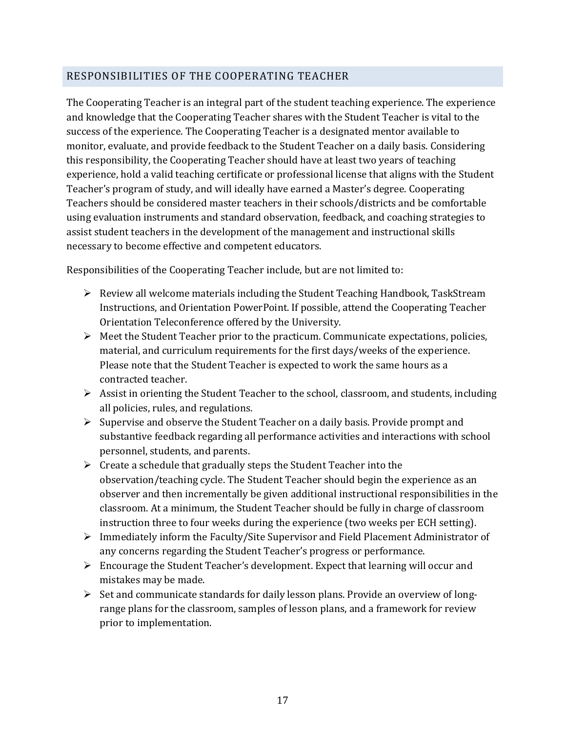# RESPONSIBILITIES OF THE COOPERATING TEACHER

The Cooperating Teacher is an integral part of the student teaching experience. The experience and knowledge that the Cooperating Teacher shares with the Student Teacher is vital to the success of the experience. The Cooperating Teacher is a designated mentor available to monitor, evaluate, and provide feedback to the Student Teacher on a daily basis. Considering this responsibility, the Cooperating Teacher should have at least two years of teaching experience, hold a valid teaching certificate or professional license that aligns with the Student Teacher's program of study, and will ideally have earned a Master's degree. Cooperating Teachers should be considered master teachers in their schools/districts and be comfortable using evaluation instruments and standard observation, feedback, and coaching strategies to assist student teachers in the development of the management and instructional skills necessary to become effective and competent educators.

Responsibilities of the Cooperating Teacher include, but are not limited to:

- $\triangleright$  Review all welcome materials including the Student Teaching Handbook, TaskStream Instructions, and Orientation PowerPoint. If possible, attend the Cooperating Teacher Orientation Teleconference offered by the University.
- $\triangleright$  Meet the Student Teacher prior to the practicum. Communicate expectations, policies, material, and curriculum requirements for the first days/weeks of the experience. Please note that the Student Teacher is expected to work the same hours as a contracted teacher.
- Assist in orienting the Student Teacher to the school, classroom, and students, including all policies, rules, and regulations.
- $\triangleright$  Supervise and observe the Student Teacher on a daily basis. Provide prompt and substantive feedback regarding all performance activities and interactions with school personnel, students, and parents.
- $\triangleright$  Create a schedule that gradually steps the Student Teacher into the observation/teaching cycle. The Student Teacher should begin the experience as an observer and then incrementally be given additional instructional responsibilities in the classroom. At a minimum, the Student Teacher should be fully in charge of classroom instruction three to four weeks during the experience (two weeks per ECH setting).
- $\triangleright$  Immediately inform the Faculty/Site Supervisor and Field Placement Administrator of any concerns regarding the Student Teacher's progress or performance.
- $\triangleright$  Encourage the Student Teacher's development. Expect that learning will occur and mistakes may be made.
- $\triangleright$  Set and communicate standards for daily lesson plans. Provide an overview of longrange plans for the classroom, samples of lesson plans, and a framework for review prior to implementation.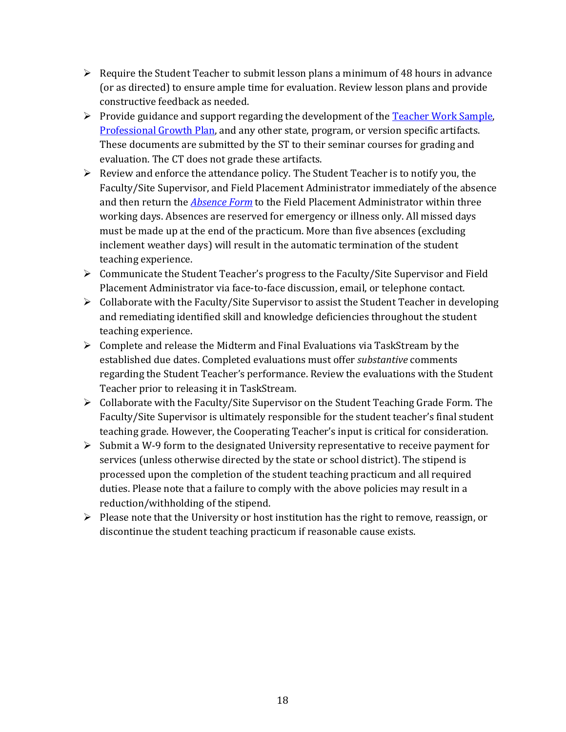- $\triangleright$  Require the Student Teacher to submit lesson plans a minimum of 48 hours in advance (or as directed) to ensure ample time for evaluation. Review lesson plans and provide constructive feedback as needed.
- Provide guidance and support regarding the development of the **Teacher Work Sample**, Professional Growth Plan, and any other state, program, or version specific artifacts. These documents are submitted by the ST to their seminar courses for grading and evaluation. The CT does not grade these artifacts.
- $\triangleright$  Review and enforce the attendance policy. The Student Teacher is to notify you, the Faculty/Site Supervisor, and Field Placement Administrator immediately of the absence and then return the *Absence Form* to the Field Placement Administrator within three working days. Absences are reserved for emergency or illness only. All missed days must be made up at the end of the practicum. More than five absences (excluding inclement weather days) will result in the automatic termination of the student teaching experience.
- Communicate the Student Teacher's progress to the Faculty/Site Supervisor and Field Placement Administrator via face-to-face discussion, email, or telephone contact.
- $\triangleright$  Collaborate with the Faculty/Site Supervisor to assist the Student Teacher in developing and remediating identified skill and knowledge deficiencies throughout the student teaching experience.
- $\triangleright$  Complete and release the Midterm and Final Evaluations via TaskStream by the established due dates. Completed evaluations must offer *substantive* comments regarding the Student Teacher's performance. Review the evaluations with the Student Teacher prior to releasing it in TaskStream.
- $\triangleright$  Collaborate with the Faculty/Site Supervisor on the Student Teaching Grade Form. The Faculty/Site Supervisor is ultimately responsible for the student teacher's final student teaching grade. However, the Cooperating Teacher's input is critical for consideration.
- $\triangleright$  Submit a W-9 form to the designated University representative to receive payment for services (unless otherwise directed by the state or school district). The stipend is processed upon the completion of the student teaching practicum and all required duties. Please note that a failure to comply with the above policies may result in a reduction/withholding of the stipend.
- $\triangleright$  Please note that the University or host institution has the right to remove, reassign, or discontinue the student teaching practicum if reasonable cause exists.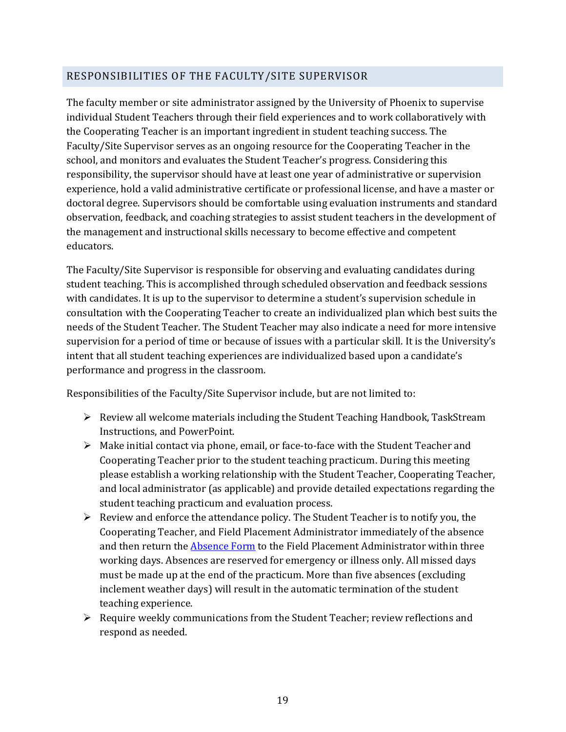# RESPONSIBILITIES OF THE FACULTY/SITE SUPERVISOR

The faculty member or site administrator assigned by the University of Phoenix to supervise individual Student Teachers through their field experiences and to work collaboratively with the Cooperating Teacher is an important ingredient in student teaching success. The Faculty/Site Supervisor serves as an ongoing resource for the Cooperating Teacher in the school, and monitors and evaluates the Student Teacher's progress. Considering this responsibility, the supervisor should have at least one year of administrative or supervision experience, hold a valid administrative certificate or professional license, and have a master or doctoral degree. Supervisors should be comfortable using evaluation instruments and standard observation, feedback, and coaching strategies to assist student teachers in the development of the management and instructional skills necessary to become effective and competent educators.

The Faculty/Site Supervisor is responsible for observing and evaluating candidates during student teaching. This is accomplished through scheduled observation and feedback sessions with candidates. It is up to the supervisor to determine a student's supervision schedule in consultation with the Cooperating Teacher to create an individualized plan which best suits the needs of the Student Teacher. The Student Teacher may also indicate a need for more intensive supervision for a period of time or because of issues with a particular skill. It is the University's intent that all student teaching experiences are individualized based upon a candidate's performance and progress in the classroom.

Responsibilities of the Faculty/Site Supervisor include, but are not limited to:

- $\triangleright$  Review all welcome materials including the Student Teaching Handbook, TaskStream Instructions, and PowerPoint.
- $\triangleright$  Make initial contact via phone, email, or face-to-face with the Student Teacher and Cooperating Teacher prior to the student teaching practicum. During this meeting please establish a working relationship with the Student Teacher, Cooperating Teacher, and local administrator (as applicable) and provide detailed expectations regarding the student teaching practicum and evaluation process.
- $\triangleright$  Review and enforce the attendance policy. The Student Teacher is to notify you, the Cooperating Teacher, and Field Placement Administrator immediately of the absence and then return the Absence Form to the Field Placement Administrator within three working days. Absences are reserved for emergency or illness only. All missed days must be made up at the end of the practicum. More than five absences (excluding inclement weather days) will result in the automatic termination of the student teaching experience.
- $\triangleright$  Require weekly communications from the Student Teacher; review reflections and respond as needed.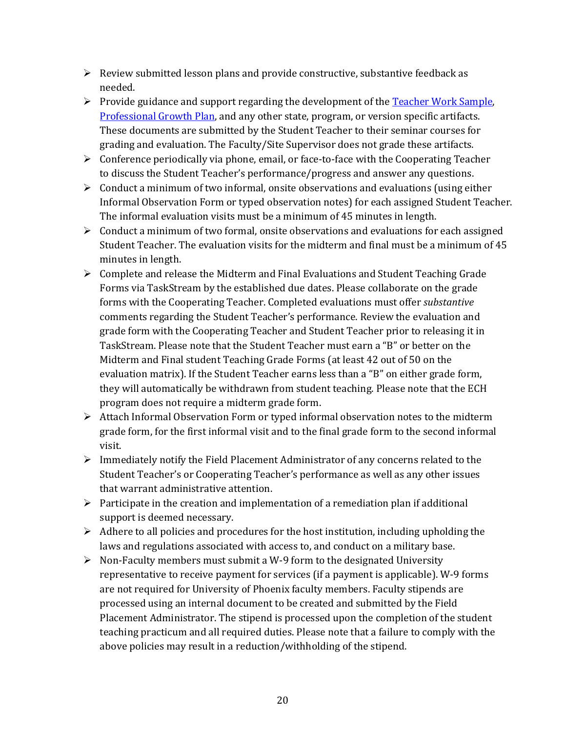- $\triangleright$  Review submitted lesson plans and provide constructive, substantive feedback as needed.
- $\triangleright$  Provide guidance and support regarding the development of the Teacher Work Sample, Professional Growth Plan, and any other state, program, or version specific artifacts. These documents are submitted by the Student Teacher to their seminar courses for grading and evaluation. The Faculty/Site Supervisor does not grade these artifacts.
- $\triangleright$  Conference periodically via phone, email, or face-to-face with the Cooperating Teacher to discuss the Student Teacher's performance/progress and answer any questions.
- Informal Observation Form or typed observation notes) for each assigned Student Teacher.  $\triangleright$  Conduct a minimum of two informal, onsite observations and evaluations (using either The informal evaluation visits must be a minimum of 45 minutes in length.
- $\triangleright$  Conduct a minimum of two formal, onsite observations and evaluations for each assigned Student Teacher. The evaluation visits for the midterm and final must be a minimum of 45 minutes in length.
- Forms via TaskStream by the established due dates. Please collaborate on the grade TaskStream. Please note that the Student Teacher must earn a "B" or better on the  $\triangleright$  Complete and release the Midterm and Final Evaluations and Student Teaching Grade forms with the Cooperating Teacher. Completed evaluations must offer *substantive*  comments regarding the Student Teacher's performance. Review the evaluation and grade form with the Cooperating Teacher and Student Teacher prior to releasing it in Midterm and Final student Teaching Grade Forms (at least 42 out of 50 on the evaluation matrix). If the Student Teacher earns less than a "B" on either grade form, they will automatically be withdrawn from student teaching. Please note that the ECH program does not require a midterm grade form.
- Attach Informal Observation Form or typed informal observation notes to the midterm grade form, for the first informal visit and to the final grade form to the second informal visit.
- $\triangleright$  Immediately notify the Field Placement Administrator of any concerns related to the Student Teacher's or Cooperating Teacher's performance as well as any other issues that warrant administrative attention.
- $\triangleright$  Participate in the creation and implementation of a remediation plan if additional support is deemed necessary.
- $\triangleright$  Adhere to all policies and procedures for the host institution, including upholding the laws and regulations associated with access to, and conduct on a military base.
- $\triangleright$  Non-Faculty members must submit a W-9 form to the designated University representative to receive payment for services (if a payment is applicable). W-9 forms are not required for University of Phoenix faculty members. Faculty stipends are processed using an internal document to be created and submitted by the Field Placement Administrator. The stipend is processed upon the completion of the student teaching practicum and all required duties. Please note that a failure to comply with the above policies may result in a reduction/withholding of the stipend.